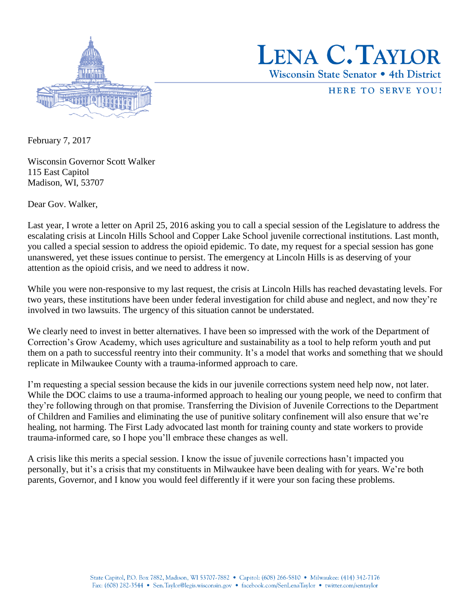



HERE TO SERVE YOU!

February 7, 2017

Wisconsin Governor Scott Walker 115 East Capitol Madison, WI, 53707

Dear Gov. Walker,

Last year, I wrote a letter on April 25, 2016 asking you to call a special session of the Legislature to address the escalating crisis at Lincoln Hills School and Copper Lake School juvenile correctional institutions. Last month, you called a special session to address the opioid epidemic. To date, my request for a special session has gone unanswered, yet these issues continue to persist. The emergency at Lincoln Hills is as deserving of your attention as the opioid crisis, and we need to address it now.

While you were non-responsive to my last request, the crisis at Lincoln Hills has reached devastating levels. For two years, these institutions have been under federal investigation for child abuse and neglect, and now they're involved in two lawsuits. The urgency of this situation cannot be understated.

We clearly need to invest in better alternatives. I have been so impressed with the work of the Department of Correction's Grow Academy, which uses agriculture and sustainability as a tool to help reform youth and put them on a path to successful reentry into their community. It's a model that works and something that we should replicate in Milwaukee County with a trauma-informed approach to care.

I'm requesting a special session because the kids in our juvenile corrections system need help now, not later. While the DOC claims to use a trauma-informed approach to healing our young people, we need to confirm that they're following through on that promise. Transferring the Division of Juvenile Corrections to the Department of Children and Families and eliminating the use of punitive solitary confinement will also ensure that we're healing, not harming. The First Lady advocated last month for training county and state workers to provide trauma-informed care, so I hope you'll embrace these changes as well.

A crisis like this merits a special session. I know the issue of juvenile corrections hasn't impacted you personally, but it's a crisis that my constituents in Milwaukee have been dealing with for years. We're both parents, Governor, and I know you would feel differently if it were your son facing these problems.